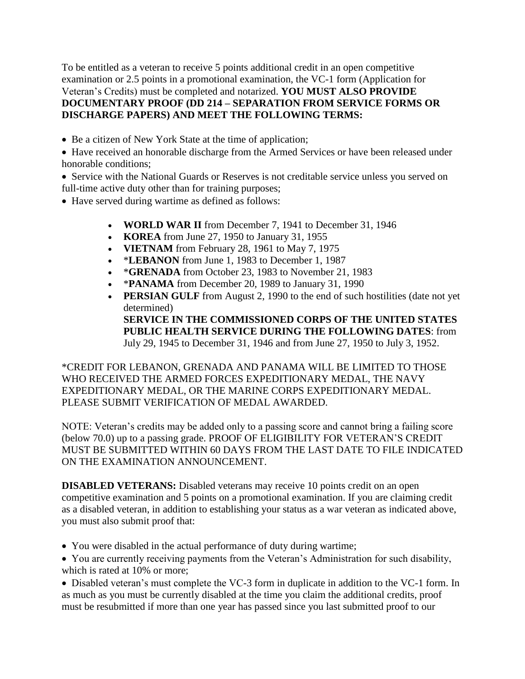To be entitled as a veteran to receive 5 points additional credit in an open competitive examination or 2.5 points in a promotional examination, the VC-1 form (Application for Veteran's Credits) must be completed and notarized. **YOU MUST ALSO PROVIDE DOCUMENTARY PROOF (DD 214 – SEPARATION FROM SERVICE FORMS OR DISCHARGE PAPERS) AND MEET THE FOLLOWING TERMS:**

• Be a citizen of New York State at the time of application;

 Have received an honorable discharge from the Armed Services or have been released under honorable conditions;

 Service with the National Guards or Reserves is not creditable service unless you served on full-time active duty other than for training purposes;

- Have served during wartime as defined as follows:
	- **WORLD WAR II** from December 7, 1941 to December 31, 1946
	- **KOREA** from June 27, 1950 to January 31, 1955
	- **VIETNAM** from February 28, 1961 to May 7, 1975
	- **\*LEBANON** from June 1, 1983 to December 1, 1987
	- \*GRENADA from October 23, 1983 to November 21, 1983
	- **\*PANAMA** from December 20, 1989 to January 31, 1990
	- **PERSIAN GULF** from August 2, 1990 to the end of such hostilities (date not yet determined) **SERVICE IN THE COMMISSIONED CORPS OF THE UNITED STATES PUBLIC HEALTH SERVICE DURING THE FOLLOWING DATES**: from July 29, 1945 to December 31, 1946 and from June 27, 1950 to July 3, 1952.

\*CREDIT FOR LEBANON, GRENADA AND PANAMA WILL BE LIMITED TO THOSE WHO RECEIVED THE ARMED FORCES EXPEDITIONARY MEDAL, THE NAVY EXPEDITIONARY MEDAL, OR THE MARINE CORPS EXPEDITIONARY MEDAL. PLEASE SUBMIT VERIFICATION OF MEDAL AWARDED.

NOTE: Veteran's credits may be added only to a passing score and cannot bring a failing score (below 70.0) up to a passing grade. PROOF OF ELIGIBILITY FOR VETERAN'S CREDIT MUST BE SUBMITTED WITHIN 60 DAYS FROM THE LAST DATE TO FILE INDICATED ON THE EXAMINATION ANNOUNCEMENT.

**DISABLED VETERANS:** Disabled veterans may receive 10 points credit on an open competitive examination and 5 points on a promotional examination. If you are claiming credit as a disabled veteran, in addition to establishing your status as a war veteran as indicated above, you must also submit proof that:

- You were disabled in the actual performance of duty during wartime;
- You are currently receiving payments from the Veteran's Administration for such disability, which is rated at 10% or more;

 Disabled veteran's must complete the VC-3 form in duplicate in addition to the VC-1 form. In as much as you must be currently disabled at the time you claim the additional credits, proof must be resubmitted if more than one year has passed since you last submitted proof to our